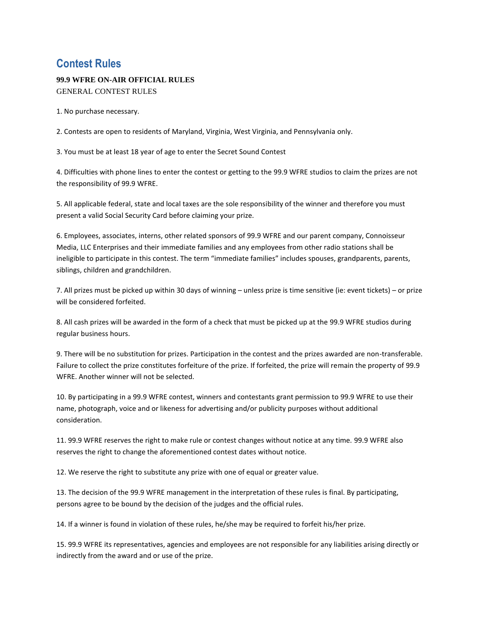## **Contest Rules**

## **99.9 WFRE ON-AIR OFFICIAL RULES**

GENERAL CONTEST RULES

1. No purchase necessary.

2. Contests are open to residents of Maryland, Virginia, West Virginia, and Pennsylvania only.

3. You must be at least 18 year of age to enter the Secret Sound Contest

4. Difficulties with phone lines to enter the contest or getting to the 99.9 WFRE studios to claim the prizes are not the responsibility of 99.9 WFRE.

5. All applicable federal, state and local taxes are the sole responsibility of the winner and therefore you must present a valid Social Security Card before claiming your prize.

6. Employees, associates, interns, other related sponsors of 99.9 WFRE and our parent company, Connoisseur Media, LLC Enterprises and their immediate families and any employees from other radio stations shall be ineligible to participate in this contest. The term "immediate families" includes spouses, grandparents, parents, siblings, children and grandchildren.

7. All prizes must be picked up within 30 days of winning – unless prize is time sensitive (ie: event tickets) – or prize will be considered forfeited.

8. All cash prizes will be awarded in the form of a check that must be picked up at the 99.9 WFRE studios during regular business hours.

9. There will be no substitution for prizes. Participation in the contest and the prizes awarded are non-transferable. Failure to collect the prize constitutes forfeiture of the prize. If forfeited, the prize will remain the property of 99.9 WFRE. Another winner will not be selected.

10. By participating in a 99.9 WFRE contest, winners and contestants grant permission to 99.9 WFRE to use their name, photograph, voice and or likeness for advertising and/or publicity purposes without additional consideration.

11. 99.9 WFRE reserves the right to make rule or contest changes without notice at any time. 99.9 WFRE also reserves the right to change the aforementioned contest dates without notice.

12. We reserve the right to substitute any prize with one of equal or greater value.

13. The decision of the 99.9 WFRE management in the interpretation of these rules is final. By participating, persons agree to be bound by the decision of the judges and the official rules.

14. If a winner is found in violation of these rules, he/she may be required to forfeit his/her prize.

15. 99.9 WFRE its representatives, agencies and employees are not responsible for any liabilities arising directly or indirectly from the award and or use of the prize.